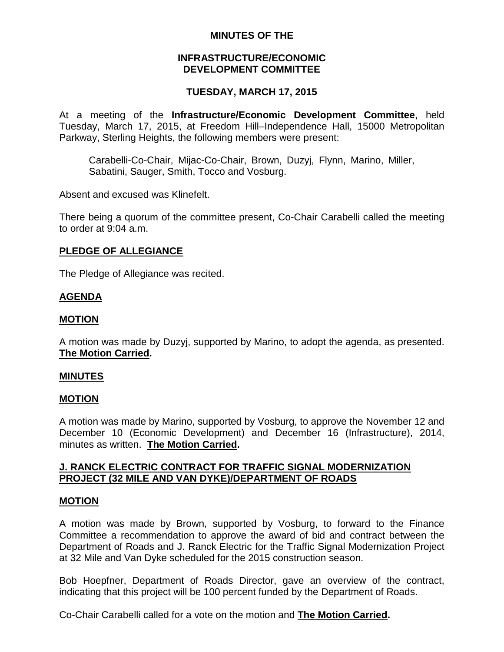# **MINUTES OF THE**

## **INFRASTRUCTURE/ECONOMIC DEVELOPMENT COMMITTEE**

# **TUESDAY, MARCH 17, 2015**

At a meeting of the **Infrastructure/Economic Development Committee**, held Tuesday, March 17, 2015, at Freedom Hill–Independence Hall, 15000 Metropolitan Parkway, Sterling Heights, the following members were present:

Carabelli-Co-Chair, Mijac-Co-Chair, Brown, Duzyj, Flynn, Marino, Miller, Sabatini, Sauger, Smith, Tocco and Vosburg.

Absent and excused was Klinefelt.

There being a quorum of the committee present, Co-Chair Carabelli called the meeting to order at 9:04 a.m.

# **PLEDGE OF ALLEGIANCE**

The Pledge of Allegiance was recited.

# **AGENDA**

# **MOTION**

A motion was made by Duzyj, supported by Marino, to adopt the agenda, as presented. **The Motion Carried.**

## **MINUTES**

## **MOTION**

A motion was made by Marino, supported by Vosburg, to approve the November 12 and December 10 (Economic Development) and December 16 (Infrastructure), 2014, minutes as written. **The Motion Carried.**

# **J. RANCK ELECTRIC CONTRACT FOR TRAFFIC SIGNAL MODERNIZATION PROJECT (32 MILE AND VAN DYKE)/DEPARTMENT OF ROADS**

## **MOTION**

A motion was made by Brown, supported by Vosburg, to forward to the Finance Committee a recommendation to approve the award of bid and contract between the Department of Roads and J. Ranck Electric for the Traffic Signal Modernization Project at 32 Mile and Van Dyke scheduled for the 2015 construction season.

Bob Hoepfner, Department of Roads Director, gave an overview of the contract, indicating that this project will be 100 percent funded by the Department of Roads.

Co-Chair Carabelli called for a vote on the motion and **The Motion Carried.**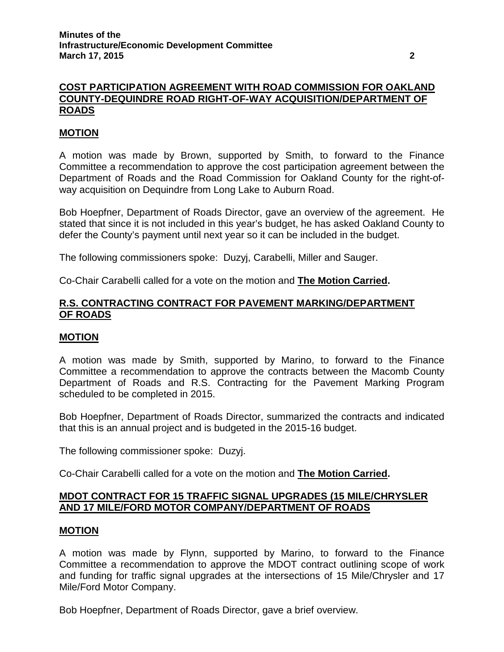# **COST PARTICIPATION AGREEMENT WITH ROAD COMMISSION FOR OAKLAND COUNTY-DEQUINDRE ROAD RIGHT-OF-WAY ACQUISITION/DEPARTMENT OF ROADS**

# **MOTION**

A motion was made by Brown, supported by Smith, to forward to the Finance Committee a recommendation to approve the cost participation agreement between the Department of Roads and the Road Commission for Oakland County for the right-ofway acquisition on Dequindre from Long Lake to Auburn Road.

Bob Hoepfner, Department of Roads Director, gave an overview of the agreement. He stated that since it is not included in this year's budget, he has asked Oakland County to defer the County's payment until next year so it can be included in the budget.

The following commissioners spoke: Duzyj, Carabelli, Miller and Sauger.

Co-Chair Carabelli called for a vote on the motion and **The Motion Carried.**

# **R.S. CONTRACTING CONTRACT FOR PAVEMENT MARKING/DEPARTMENT OF ROADS**

## **MOTION**

A motion was made by Smith, supported by Marino, to forward to the Finance Committee a recommendation to approve the contracts between the Macomb County Department of Roads and R.S. Contracting for the Pavement Marking Program scheduled to be completed in 2015.

Bob Hoepfner, Department of Roads Director, summarized the contracts and indicated that this is an annual project and is budgeted in the 2015-16 budget.

The following commissioner spoke: Duzyj.

Co-Chair Carabelli called for a vote on the motion and **The Motion Carried.**

# **MDOT CONTRACT FOR 15 TRAFFIC SIGNAL UPGRADES (15 MILE/CHRYSLER AND 17 MILE/FORD MOTOR COMPANY/DEPARTMENT OF ROADS**

## **MOTION**

A motion was made by Flynn, supported by Marino, to forward to the Finance Committee a recommendation to approve the MDOT contract outlining scope of work and funding for traffic signal upgrades at the intersections of 15 Mile/Chrysler and 17 Mile/Ford Motor Company.

Bob Hoepfner, Department of Roads Director, gave a brief overview.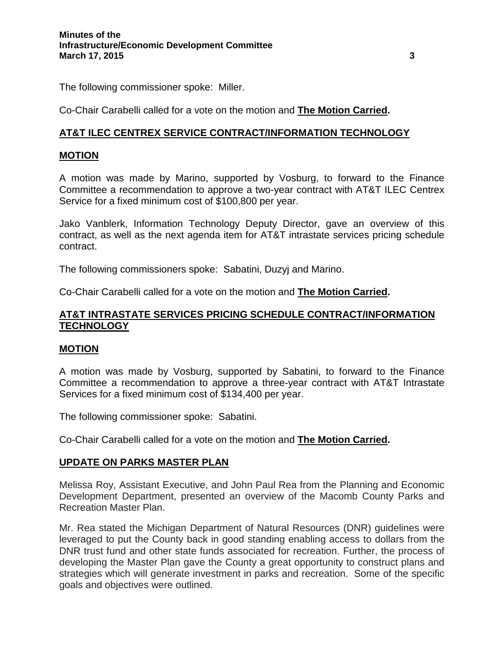The following commissioner spoke: Miller.

Co-Chair Carabelli called for a vote on the motion and **The Motion Carried.**

# **AT&T ILEC CENTREX SERVICE CONTRACT/INFORMATION TECHNOLOGY**

# **MOTION**

A motion was made by Marino, supported by Vosburg, to forward to the Finance Committee a recommendation to approve a two-year contract with AT&T ILEC Centrex Service for a fixed minimum cost of \$100,800 per year.

Jako Vanblerk, Information Technology Deputy Director, gave an overview of this contract, as well as the next agenda item for AT&T intrastate services pricing schedule contract.

The following commissioners spoke: Sabatini, Duzyj and Marino.

Co-Chair Carabelli called for a vote on the motion and **The Motion Carried.**

# **AT&T INTRASTATE SERVICES PRICING SCHEDULE CONTRACT/INFORMATION TECHNOLOGY**

# **MOTION**

A motion was made by Vosburg, supported by Sabatini, to forward to the Finance Committee a recommendation to approve a three-year contract with AT&T Intrastate Services for a fixed minimum cost of \$134,400 per year.

The following commissioner spoke: Sabatini.

Co-Chair Carabelli called for a vote on the motion and **The Motion Carried.**

# **UPDATE ON PARKS MASTER PLAN**

Melissa Roy, Assistant Executive, and John Paul Rea from the Planning and Economic Development Department, presented an overview of the Macomb County Parks and Recreation Master Plan.

Mr. Rea stated the Michigan Department of Natural Resources (DNR) guidelines were leveraged to put the County back in good standing enabling access to dollars from the DNR trust fund and other state funds associated for recreation. Further, the process of developing the Master Plan gave the County a great opportunity to construct plans and strategies which will generate investment in parks and recreation. Some of the specific goals and objectives were outlined.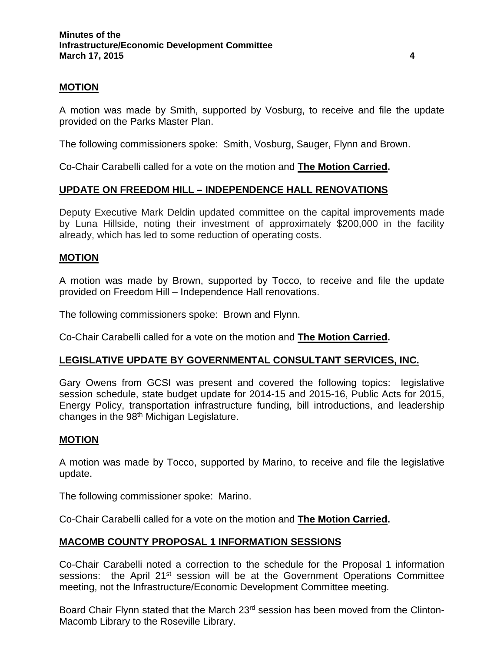# **MOTION**

A motion was made by Smith, supported by Vosburg, to receive and file the update provided on the Parks Master Plan.

The following commissioners spoke: Smith, Vosburg, Sauger, Flynn and Brown.

Co-Chair Carabelli called for a vote on the motion and **The Motion Carried.**

# **UPDATE ON FREEDOM HILL – INDEPENDENCE HALL RENOVATIONS**

Deputy Executive Mark Deldin updated committee on the capital improvements made by Luna Hillside, noting their investment of approximately \$200,000 in the facility already, which has led to some reduction of operating costs.

## **MOTION**

A motion was made by Brown, supported by Tocco, to receive and file the update provided on Freedom Hill – Independence Hall renovations.

The following commissioners spoke: Brown and Flynn.

Co-Chair Carabelli called for a vote on the motion and **The Motion Carried.**

## **LEGISLATIVE UPDATE BY GOVERNMENTAL CONSULTANT SERVICES, INC.**

Gary Owens from GCSI was present and covered the following topics: legislative session schedule, state budget update for 2014-15 and 2015-16, Public Acts for 2015, Energy Policy, transportation infrastructure funding, bill introductions, and leadership changes in the 98<sup>th</sup> Michigan Legislature.

## **MOTION**

A motion was made by Tocco, supported by Marino, to receive and file the legislative update.

The following commissioner spoke: Marino.

Co-Chair Carabelli called for a vote on the motion and **The Motion Carried.**

## **MACOMB COUNTY PROPOSAL 1 INFORMATION SESSIONS**

Co-Chair Carabelli noted a correction to the schedule for the Proposal 1 information sessions: the April 21<sup>st</sup> session will be at the Government Operations Committee meeting, not the Infrastructure/Economic Development Committee meeting.

Board Chair Flynn stated that the March 23<sup>rd</sup> session has been moved from the Clinton-Macomb Library to the Roseville Library.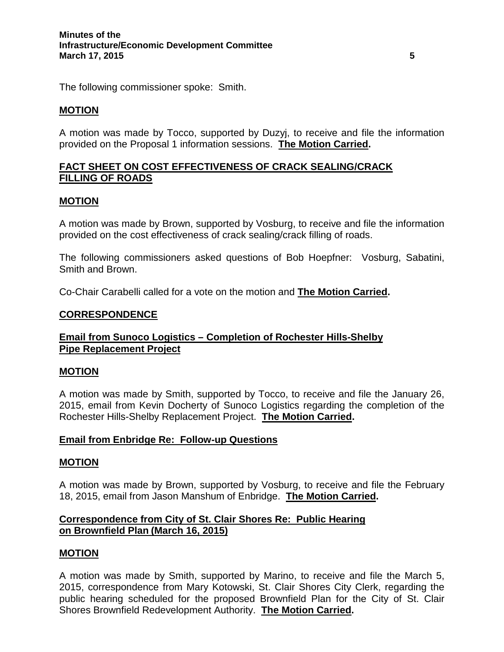The following commissioner spoke: Smith.

# **MOTION**

A motion was made by Tocco, supported by Duzyj, to receive and file the information provided on the Proposal 1 information sessions. **The Motion Carried.**

# **FACT SHEET ON COST EFFECTIVENESS OF CRACK SEALING/CRACK FILLING OF ROADS**

## **MOTION**

A motion was made by Brown, supported by Vosburg, to receive and file the information provided on the cost effectiveness of crack sealing/crack filling of roads.

The following commissioners asked questions of Bob Hoepfner: Vosburg, Sabatini, Smith and Brown.

Co-Chair Carabelli called for a vote on the motion and **The Motion Carried.**

# **CORRESPONDENCE**

# **Email from Sunoco Logistics – Completion of Rochester Hills-Shelby Pipe Replacement Project**

## **MOTION**

A motion was made by Smith, supported by Tocco, to receive and file the January 26, 2015, email from Kevin Docherty of Sunoco Logistics regarding the completion of the Rochester Hills-Shelby Replacement Project. **The Motion Carried.**

## **Email from Enbridge Re: Follow-up Questions**

## **MOTION**

A motion was made by Brown, supported by Vosburg, to receive and file the February 18, 2015, email from Jason Manshum of Enbridge. **The Motion Carried.**

# **Correspondence from City of St. Clair Shores Re: Public Hearing on Brownfield Plan (March 16, 2015)**

## **MOTION**

A motion was made by Smith, supported by Marino, to receive and file the March 5, 2015, correspondence from Mary Kotowski, St. Clair Shores City Clerk, regarding the public hearing scheduled for the proposed Brownfield Plan for the City of St. Clair Shores Brownfield Redevelopment Authority. **The Motion Carried.**